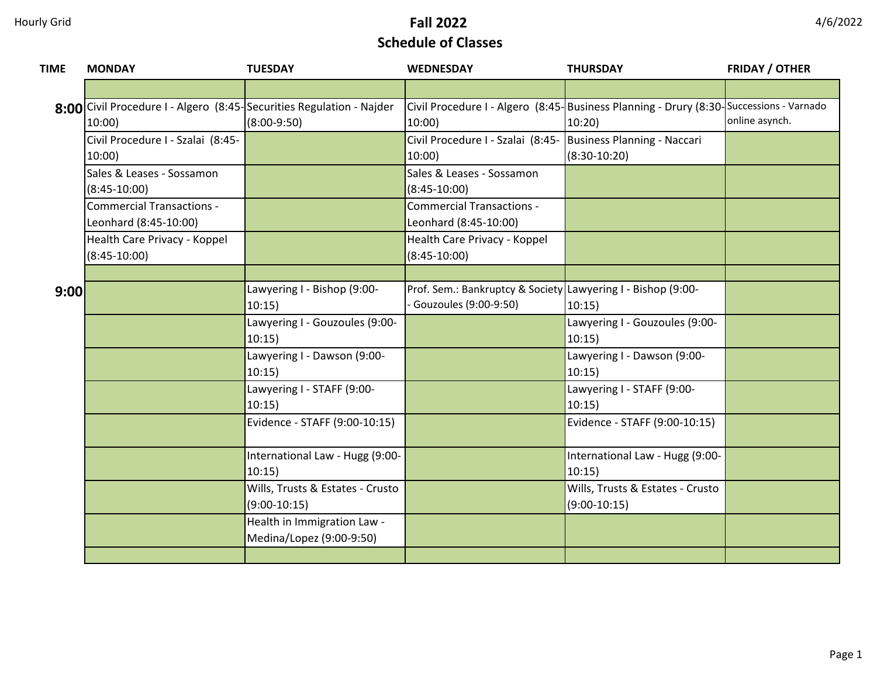| <b>TIME</b> | <b>MONDAY</b>                                                        | <b>TUESDAY</b>                                          | <b>WEDNESDAY</b>                                             | <b>THURSDAY</b>                                                                          | <b>FRIDAY / OTHER</b> |
|-------------|----------------------------------------------------------------------|---------------------------------------------------------|--------------------------------------------------------------|------------------------------------------------------------------------------------------|-----------------------|
|             |                                                                      |                                                         |                                                              |                                                                                          |                       |
|             | 8:00 Civil Procedure I - Algero (8:45-Securities Regulation - Najder |                                                         |                                                              | Civil Procedure I - Algero (8:45- Business Planning - Drury (8:30- Successions - Varnado |                       |
|             | 10:00                                                                | $(8:00-9:50)$                                           | 10:00                                                        | 10:20                                                                                    | online asynch.        |
|             | Civil Procedure I - Szalai (8:45-                                    |                                                         | Civil Procedure I - Szalai (8:45-                            | Business Planning - Naccari                                                              |                       |
|             | 10:00)                                                               |                                                         | 10:00                                                        | $(8:30-10:20)$                                                                           |                       |
|             | Sales & Leases - Sossamon                                            |                                                         | Sales & Leases - Sossamon                                    |                                                                                          |                       |
|             | $(8:45-10:00)$                                                       |                                                         | $(8:45-10:00)$                                               |                                                                                          |                       |
|             | <b>Commercial Transactions -</b>                                     |                                                         | <b>Commercial Transactions -</b>                             |                                                                                          |                       |
|             | Leonhard (8:45-10:00)                                                |                                                         | Leonhard (8:45-10:00)                                        |                                                                                          |                       |
|             | Health Care Privacy - Koppel                                         |                                                         | Health Care Privacy - Koppel                                 |                                                                                          |                       |
|             | $(8:45-10:00)$                                                       |                                                         | $(8:45-10:00)$                                               |                                                                                          |                       |
|             |                                                                      |                                                         |                                                              |                                                                                          |                       |
| 9:00        |                                                                      | Lawyering I - Bishop (9:00-                             | Prof. Sem.: Bankruptcy & Society Lawyering I - Bishop (9:00- |                                                                                          |                       |
|             |                                                                      | 10:15)                                                  | Gouzoules (9:00-9:50)                                        | 10:15)                                                                                   |                       |
|             |                                                                      | Lawyering I - Gouzoules (9:00-                          |                                                              | Lawyering I - Gouzoules (9:00-                                                           |                       |
|             |                                                                      | 10:15)                                                  |                                                              | 10:15)                                                                                   |                       |
|             |                                                                      | Lawyering I - Dawson (9:00-                             |                                                              | Lawyering I - Dawson (9:00-                                                              |                       |
|             |                                                                      | 10:15)                                                  |                                                              | 10:15)                                                                                   |                       |
|             |                                                                      | Lawyering I - STAFF (9:00-                              |                                                              | Lawyering I - STAFF (9:00-                                                               |                       |
|             |                                                                      | 10:15)                                                  |                                                              | 10:15)                                                                                   |                       |
|             |                                                                      | Evidence - STAFF (9:00-10:15)                           |                                                              | Evidence - STAFF (9:00-10:15)                                                            |                       |
|             |                                                                      |                                                         |                                                              |                                                                                          |                       |
|             |                                                                      | International Law - Hugg (9:00-                         |                                                              | International Law - Hugg (9:00-                                                          |                       |
|             |                                                                      | 10:15)                                                  |                                                              | 10:15)                                                                                   |                       |
|             |                                                                      | Wills, Trusts & Estates - Crusto<br>$(9:00-10:15)$      |                                                              | Wills, Trusts & Estates - Crusto<br>$(9:00-10:15)$                                       |                       |
|             |                                                                      |                                                         |                                                              |                                                                                          |                       |
|             |                                                                      | Health in Immigration Law -<br>Medina/Lopez (9:00-9:50) |                                                              |                                                                                          |                       |
|             |                                                                      |                                                         |                                                              |                                                                                          |                       |
|             |                                                                      |                                                         |                                                              |                                                                                          |                       |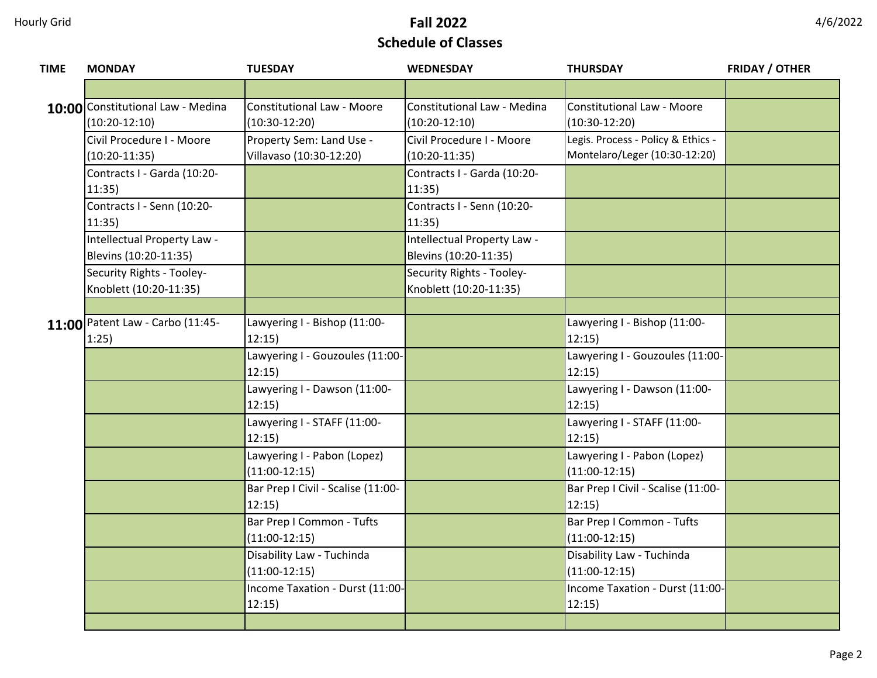| 4/6/2022 |  |
|----------|--|
|----------|--|

| <b>TIME</b> | <b>MONDAY</b>                                        | <b>TUESDAY</b>                                       | <b>WEDNESDAY</b>                                     | <b>THURSDAY</b>                                                     | <b>FRIDAY / OTHER</b> |
|-------------|------------------------------------------------------|------------------------------------------------------|------------------------------------------------------|---------------------------------------------------------------------|-----------------------|
|             |                                                      |                                                      |                                                      |                                                                     |                       |
|             | 10:00 Constitutional Law - Medina<br>$(10:20-12:10)$ | <b>Constitutional Law - Moore</b><br>$(10:30-12:20)$ | Constitutional Law - Medina<br>$(10:20-12:10)$       | <b>Constitutional Law - Moore</b><br>$(10:30-12:20)$                |                       |
|             | Civil Procedure I - Moore<br>$(10:20-11:35)$         | Property Sem: Land Use -<br>Villavaso (10:30-12:20)  | Civil Procedure I - Moore<br>$(10:20-11:35)$         | Legis. Process - Policy & Ethics -<br>Montelaro/Leger (10:30-12:20) |                       |
|             | Contracts I - Garda (10:20-<br>11:35)                |                                                      | Contracts I - Garda (10:20-<br>11:35)                |                                                                     |                       |
|             | Contracts I - Senn (10:20-<br>11:35                  |                                                      | Contracts I - Senn (10:20-<br>11:35                  |                                                                     |                       |
|             | Intellectual Property Law -<br>Blevins (10:20-11:35) |                                                      | Intellectual Property Law -<br>Blevins (10:20-11:35) |                                                                     |                       |
|             | Security Rights - Tooley-<br>Knoblett (10:20-11:35)  |                                                      | Security Rights - Tooley-<br>Knoblett (10:20-11:35)  |                                                                     |                       |
|             |                                                      |                                                      |                                                      |                                                                     |                       |
|             | 11:00 Patent Law - Carbo (11:45-<br>1:25)            | Lawyering I - Bishop (11:00-<br>12:15)               |                                                      | Lawyering I - Bishop (11:00-<br>12:15                               |                       |
|             |                                                      | Lawyering I - Gouzoules (11:00-<br>12:15)            |                                                      | Lawyering I - Gouzoules (11:00-<br>12:15)                           |                       |
|             |                                                      | Lawyering I - Dawson (11:00-<br>12:15)               |                                                      | Lawyering I - Dawson (11:00-<br>12:15                               |                       |
|             |                                                      | Lawyering I - STAFF (11:00-<br>12:15)                |                                                      | Lawyering I - STAFF (11:00-<br>12:15                                |                       |
|             |                                                      | Lawyering I - Pabon (Lopez)<br>$(11:00-12:15)$       |                                                      | Lawyering I - Pabon (Lopez)<br>$(11:00-12:15)$                      |                       |
|             |                                                      | Bar Prep I Civil - Scalise (11:00-<br>12:15)         |                                                      | Bar Prep I Civil - Scalise (11:00-<br>12:15)                        |                       |
|             |                                                      | Bar Prep I Common - Tufts<br>$(11:00-12:15)$         |                                                      | Bar Prep I Common - Tufts<br>$(11:00-12:15)$                        |                       |
|             |                                                      | Disability Law - Tuchinda<br>$(11:00-12:15)$         |                                                      | Disability Law - Tuchinda<br>$(11:00-12:15)$                        |                       |
|             |                                                      | Income Taxation - Durst (11:00-<br>12:15)            |                                                      | Income Taxation - Durst (11:00-<br>12:15)                           |                       |
|             |                                                      |                                                      |                                                      |                                                                     |                       |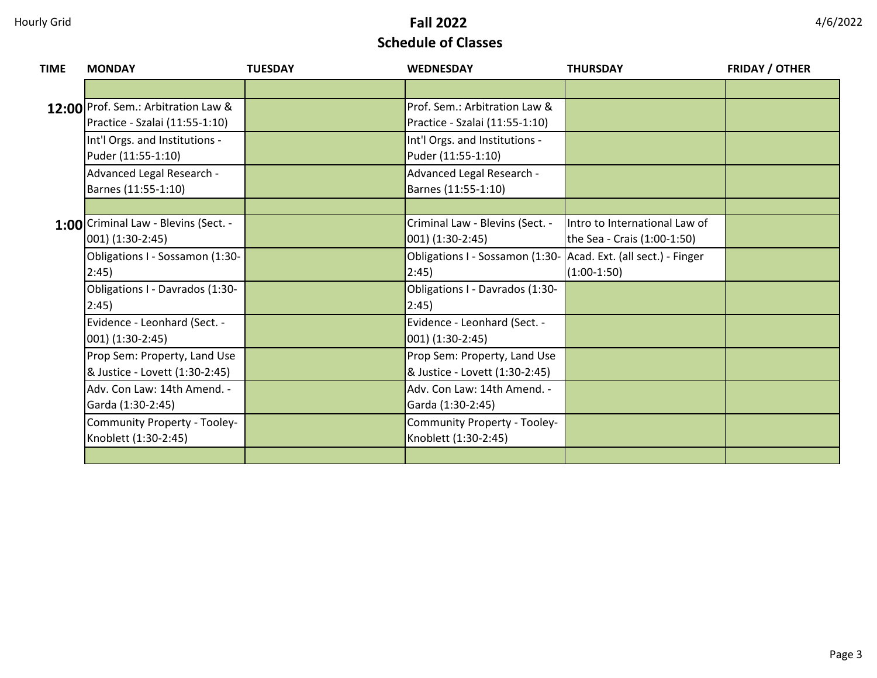| <b>TIME</b> | <b>MONDAY</b>                        | <b>TUESDAY</b> | <b>WEDNESDAY</b>                | <b>THURSDAY</b>                 | <b>FRIDAY / OTHER</b> |
|-------------|--------------------------------------|----------------|---------------------------------|---------------------------------|-----------------------|
|             |                                      |                |                                 |                                 |                       |
|             | 12:00 Prof. Sem.: Arbitration Law &  |                | Prof. Sem.: Arbitration Law &   |                                 |                       |
|             | Practice - Szalai (11:55-1:10)       |                | Practice - Szalai (11:55-1:10)  |                                 |                       |
|             | Int'l Orgs. and Institutions -       |                | Int'l Orgs. and Institutions -  |                                 |                       |
|             | Puder (11:55-1:10)                   |                | Puder (11:55-1:10)              |                                 |                       |
|             | Advanced Legal Research -            |                | Advanced Legal Research -       |                                 |                       |
|             | Barnes (11:55-1:10)                  |                | Barnes (11:55-1:10)             |                                 |                       |
|             |                                      |                |                                 |                                 |                       |
|             | 1:00 Criminal Law - Blevins (Sect. - |                | Criminal Law - Blevins (Sect. - | Intro to International Law of   |                       |
|             | $001)$ (1:30-2:45)                   |                | 001) (1:30-2:45)                | the Sea - Crais (1:00-1:50)     |                       |
|             | Obligations I - Sossamon (1:30-      |                | Obligations I - Sossamon (1:30- | Acad. Ext. (all sect.) - Finger |                       |
|             | 2:45)                                |                | 2:45)                           | $(1:00-1:50)$                   |                       |
|             | Obligations I - Davrados (1:30-      |                | Obligations I - Davrados (1:30- |                                 |                       |
|             | 2:45)                                |                | 2:45)                           |                                 |                       |
|             | Evidence - Leonhard (Sect. -         |                | Evidence - Leonhard (Sect. -    |                                 |                       |
|             | $001)$ (1:30-2:45)                   |                | 001) (1:30-2:45)                |                                 |                       |
|             | Prop Sem: Property, Land Use         |                | Prop Sem: Property, Land Use    |                                 |                       |
|             | & Justice - Lovett (1:30-2:45)       |                | & Justice - Lovett (1:30-2:45)  |                                 |                       |
|             | Adv. Con Law: 14th Amend. -          |                | Adv. Con Law: 14th Amend. -     |                                 |                       |
|             | Garda (1:30-2:45)                    |                | Garda (1:30-2:45)               |                                 |                       |
|             | Community Property - Tooley-         |                | Community Property - Tooley-    |                                 |                       |
|             | Knoblett (1:30-2:45)                 |                | Knoblett (1:30-2:45)            |                                 |                       |
|             |                                      |                |                                 |                                 |                       |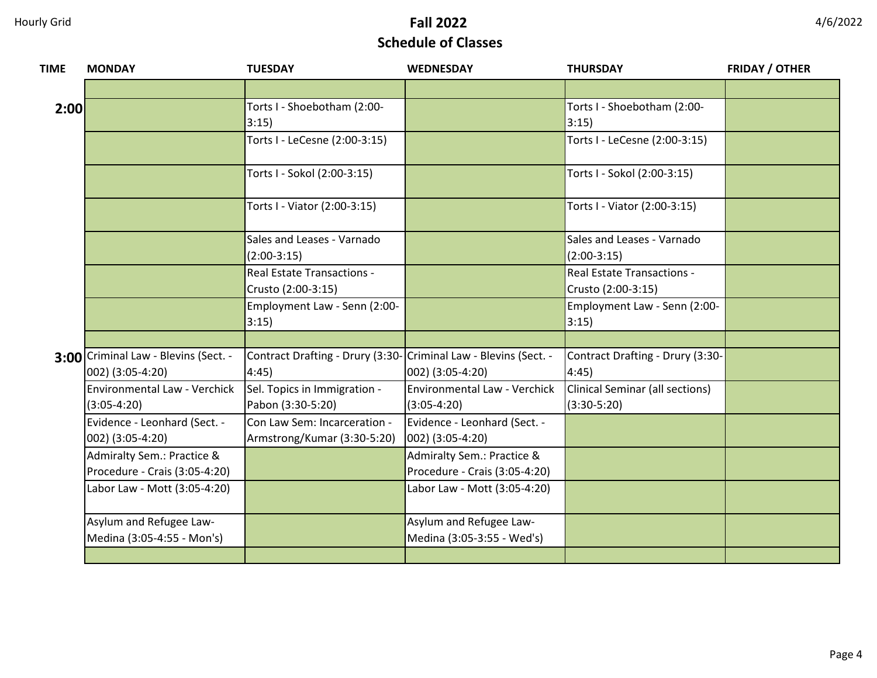| <b>TIME</b> | <b>MONDAY</b>                                               | <b>TUESDAY</b>                                                            | <b>WEDNESDAY</b>                                            | <b>THURSDAY</b>                                  | <b>FRIDAY / OTHER</b> |
|-------------|-------------------------------------------------------------|---------------------------------------------------------------------------|-------------------------------------------------------------|--------------------------------------------------|-----------------------|
|             |                                                             |                                                                           |                                                             |                                                  |                       |
| 2:00        |                                                             | Torts I - Shoebotham (2:00-<br>3:15)                                      |                                                             | Torts I - Shoebotham (2:00-<br>3:15)             |                       |
|             |                                                             | Torts I - LeCesne (2:00-3:15)                                             |                                                             | Torts I - LeCesne (2:00-3:15)                    |                       |
|             |                                                             | Torts I - Sokol (2:00-3:15)                                               |                                                             | Torts I - Sokol (2:00-3:15)                      |                       |
|             |                                                             | Torts I - Viator (2:00-3:15)                                              |                                                             | Torts I - Viator (2:00-3:15)                     |                       |
|             |                                                             | Sales and Leases - Varnado<br>$(2:00-3:15)$                               |                                                             | Sales and Leases - Varnado<br>$(2:00-3:15)$      |                       |
|             |                                                             | <b>Real Estate Transactions -</b><br>Crusto (2:00-3:15)                   |                                                             | Real Estate Transactions -<br>Crusto (2:00-3:15) |                       |
|             |                                                             | Employment Law - Senn (2:00-<br>3:15)                                     |                                                             | Employment Law - Senn (2:00-<br>3:15)            |                       |
|             |                                                             |                                                                           |                                                             |                                                  |                       |
|             | 3:00 Criminal Law - Blevins (Sect. -<br>002) (3:05-4:20)    | Contract Drafting - Drury (3:30- Criminal Law - Blevins (Sect. -<br>4:45) | 002) (3:05-4:20)                                            | Contract Drafting - Drury (3:30-<br>4:45)        |                       |
|             | Environmental Law - Verchick<br>$(3:05-4:20)$               | Sel. Topics in Immigration -<br>Pabon (3:30-5:20)                         | Environmental Law - Verchick<br>$(3:05-4:20)$               | Clinical Seminar (all sections)<br>$(3:30-5:20)$ |                       |
|             | Evidence - Leonhard (Sect. -<br>002) (3:05-4:20)            | Con Law Sem: Incarceration -<br>Armstrong/Kumar (3:30-5:20)               | Evidence - Leonhard (Sect. -<br>$ 002\rangle$ (3:05-4:20)   |                                                  |                       |
|             | Admiralty Sem.: Practice &<br>Procedure - Crais (3:05-4:20) |                                                                           | Admiralty Sem.: Practice &<br>Procedure - Crais (3:05-4:20) |                                                  |                       |
|             | Labor Law - Mott (3:05-4:20)                                |                                                                           | Labor Law - Mott (3:05-4:20)                                |                                                  |                       |
|             | Asylum and Refugee Law-                                     |                                                                           | Asylum and Refugee Law-                                     |                                                  |                       |
|             | Medina (3:05-4:55 - Mon's)                                  |                                                                           | Medina (3:05-3:55 - Wed's)                                  |                                                  |                       |
|             |                                                             |                                                                           |                                                             |                                                  |                       |